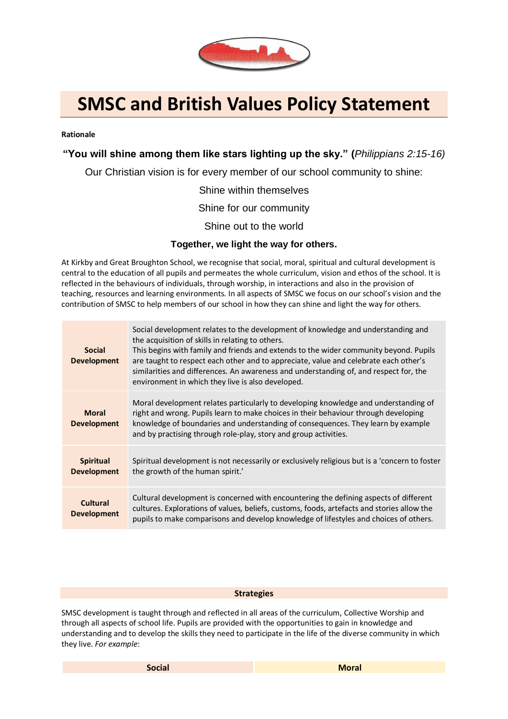

# **SMSC and British Values Policy Statement**

#### **Rationale**

## **"You will shine among them like stars lighting up the sky." (***Philippians 2:15-16)*

Our Christian vision is for every member of our school community to shine:

Shine within themselves

Shine for our community

Shine out to the world

### **Together, we light the way for others.**

At Kirkby and Great Broughton School, we recognise that social, moral, spiritual and cultural development is central to the education of all pupils and permeates the whole curriculum, vision and ethos of the school. It is reflected in the behaviours of individuals, through worship, in interactions and also in the provision of teaching, resources and learning environments. In all aspects of SMSC we focus on our school's vision and the contribution of SMSC to help members of our school in how they can shine and light the way for others.

| <b>Social</b><br><b>Development</b>    | Social development relates to the development of knowledge and understanding and<br>the acquisition of skills in relating to others.<br>This begins with family and friends and extends to the wider community beyond. Pupils<br>are taught to respect each other and to appreciate, value and celebrate each other's<br>similarities and differences. An awareness and understanding of, and respect for, the<br>environment in which they live is also developed. |
|----------------------------------------|---------------------------------------------------------------------------------------------------------------------------------------------------------------------------------------------------------------------------------------------------------------------------------------------------------------------------------------------------------------------------------------------------------------------------------------------------------------------|
| <b>Moral</b><br><b>Development</b>     | Moral development relates particularly to developing knowledge and understanding of<br>right and wrong. Pupils learn to make choices in their behaviour through developing<br>knowledge of boundaries and understanding of consequences. They learn by example<br>and by practising through role-play, story and group activities.                                                                                                                                  |
| <b>Spiritual</b><br><b>Development</b> | Spiritual development is not necessarily or exclusively religious but is a 'concern to foster<br>the growth of the human spirit.'                                                                                                                                                                                                                                                                                                                                   |
| <b>Cultural</b><br><b>Development</b>  | Cultural development is concerned with encountering the defining aspects of different<br>cultures. Explorations of values, beliefs, customs, foods, artefacts and stories allow the<br>pupils to make comparisons and develop knowledge of lifestyles and choices of others.                                                                                                                                                                                        |

#### **Strategies**

SMSC development is taught through and reflected in all areas of the curriculum, Collective Worship and through all aspects of school life. Pupils are provided with the opportunities to gain in knowledge and understanding and to develop the skills they need to participate in the life of the diverse community in which they live. *For example*: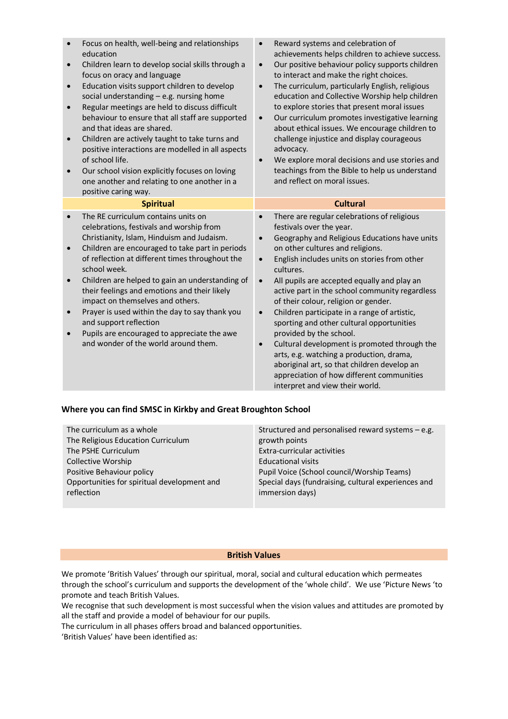| $\bullet$<br>$\bullet$<br>$\bullet$<br>$\bullet$<br>$\bullet$ | Focus on health, well-being and relationships<br>education<br>Children learn to develop social skills through a<br>focus on oracy and language<br>Education visits support children to develop<br>social understanding $-$ e.g. nursing home<br>Regular meetings are held to discuss difficult<br>behaviour to ensure that all staff are supported<br>and that ideas are shared.<br>Children are actively taught to take turns and<br>positive interactions are modelled in all aspects<br>of school life.<br>Our school vision explicitly focuses on loving<br>one another and relating to one another in a<br>positive caring way. | Reward systems and celebration of<br>$\bullet$<br>achievements helps children to achieve success.<br>Our positive behaviour policy supports children<br>$\bullet$<br>to interact and make the right choices.<br>The curriculum, particularly English, religious<br>$\bullet$<br>education and Collective Worship help children<br>to explore stories that present moral issues<br>Our curriculum promotes investigative learning<br>$\bullet$<br>about ethical issues. We encourage children to<br>challenge injustice and display courageous<br>advocacy.<br>We explore moral decisions and use stories and<br>$\bullet$<br>teachings from the Bible to help us understand<br>and reflect on moral issues.                                                                            |
|---------------------------------------------------------------|--------------------------------------------------------------------------------------------------------------------------------------------------------------------------------------------------------------------------------------------------------------------------------------------------------------------------------------------------------------------------------------------------------------------------------------------------------------------------------------------------------------------------------------------------------------------------------------------------------------------------------------|----------------------------------------------------------------------------------------------------------------------------------------------------------------------------------------------------------------------------------------------------------------------------------------------------------------------------------------------------------------------------------------------------------------------------------------------------------------------------------------------------------------------------------------------------------------------------------------------------------------------------------------------------------------------------------------------------------------------------------------------------------------------------------------|
|                                                               | <b>Spiritual</b>                                                                                                                                                                                                                                                                                                                                                                                                                                                                                                                                                                                                                     | <b>Cultural</b>                                                                                                                                                                                                                                                                                                                                                                                                                                                                                                                                                                                                                                                                                                                                                                        |
| $\bullet$<br>$\bullet$<br>$\bullet$                           | The RE curriculum contains units on<br>celebrations, festivals and worship from<br>Christianity, Islam, Hinduism and Judaism.<br>Children are encouraged to take part in periods<br>of reflection at different times throughout the<br>school week.<br>Children are helped to gain an understanding of<br>their feelings and emotions and their likely<br>impact on themselves and others.<br>Prayer is used within the day to say thank you<br>and support reflection<br>Pupils are encouraged to appreciate the awe<br>and wonder of the world around them.                                                                        | There are regular celebrations of religious<br>$\bullet$<br>festivals over the year.<br>Geography and Religious Educations have units<br>on other cultures and religions.<br>English includes units on stories from other<br>$\bullet$<br>cultures.<br>All pupils are accepted equally and play an<br>$\bullet$<br>active part in the school community regardless<br>of their colour, religion or gender.<br>Children participate in a range of artistic,<br>$\bullet$<br>sporting and other cultural opportunities<br>provided by the school.<br>Cultural development is promoted through the<br>$\bullet$<br>arts, e.g. watching a production, drama,<br>aboriginal art, so that children develop an<br>appreciation of how different communities<br>interpret and view their world. |

## **Where you can find SMSC in Kirkby and Great Broughton School**

| The curriculum as a whole                   | Structured and personalised reward systems $-e.g.$  |
|---------------------------------------------|-----------------------------------------------------|
| The Religious Education Curriculum          | growth points                                       |
| The PSHE Curriculum                         | Extra-curricular activities                         |
| Collective Worship                          | <b>Educational visits</b>                           |
| Positive Behaviour policy                   | Pupil Voice (School council/Worship Teams)          |
| Opportunities for spiritual development and | Special days (fundraising, cultural experiences and |
| reflection                                  | immersion days)                                     |
|                                             |                                                     |

#### **British Values**

We promote 'British Values' through our spiritual, moral, social and cultural education which permeates through the school's curriculum and supports the development of the 'whole child'. We use 'Picture News 'to promote and teach British Values.

We recognise that such development is most successful when the vision values and attitudes are promoted by all the staff and provide a model of behaviour for our pupils.

The curriculum in all phases offers broad and balanced opportunities.

'British Values' have been identified as: